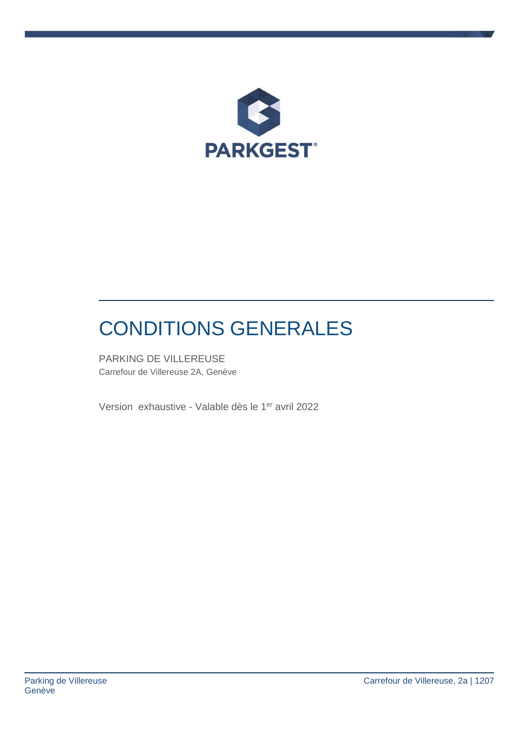

# CONDITIONS GENERALES

PARKING DE VILLEREUSE Carrefour de Villereuse 2A, Genève

Version exhaustive - Valable dès le 1er avril 2022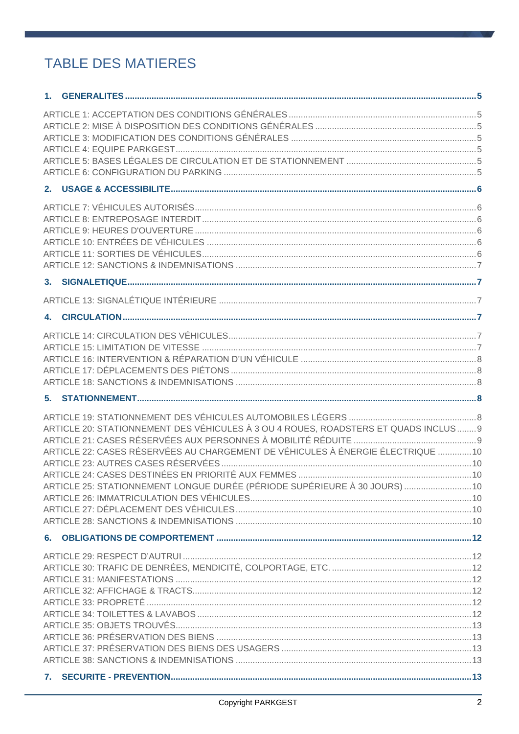# **TABLE DES MATIERES**

| 4. |                                                                                    |  |
|----|------------------------------------------------------------------------------------|--|
|    |                                                                                    |  |
|    |                                                                                    |  |
|    |                                                                                    |  |
|    |                                                                                    |  |
|    |                                                                                    |  |
|    |                                                                                    |  |
|    |                                                                                    |  |
|    | ARTICLE 20: STATIONNEMENT DES VÉHICULES À 3 OU 4 ROUES, ROADSTERS ET QUADS INCLUS9 |  |
|    |                                                                                    |  |
|    | ARTICLE 22: CASES RÉSERVÉES AU CHARGEMENT DE VÉHICULES À ÉNERGIE ÉLECTRIQUE 10     |  |
|    |                                                                                    |  |
|    |                                                                                    |  |
|    | ARTICLE 25: STATIONNEMENT LONGUE DURÉE (PÉRIODE SUPÉRIEURE À 30 JOURS)  10         |  |
|    |                                                                                    |  |
|    |                                                                                    |  |
|    |                                                                                    |  |
|    |                                                                                    |  |
|    |                                                                                    |  |
|    |                                                                                    |  |
|    |                                                                                    |  |
|    |                                                                                    |  |
|    |                                                                                    |  |
|    |                                                                                    |  |
|    |                                                                                    |  |
|    |                                                                                    |  |
|    |                                                                                    |  |
|    |                                                                                    |  |
|    |                                                                                    |  |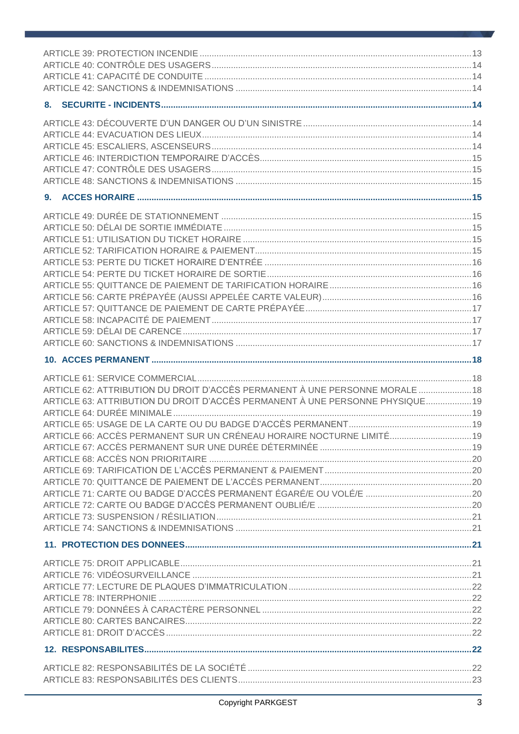| ARTICLE 62: ATTRIBUTION DU DROIT D'ACCÈS PERMANENT À UNE PERSONNE MORALE  18  |  |
|-------------------------------------------------------------------------------|--|
| ARTICLE 63: ATTRIBUTION DU DROIT D'ACCÈS PERMANENT À UNE PERSONNE PHYSIQUE 19 |  |
|                                                                               |  |
|                                                                               |  |
| ARTICLE 66: ACCÈS PERMANENT SUR UN CRÉNEAU HORAIRE NOCTURNE LIMITÉ 19         |  |
|                                                                               |  |
|                                                                               |  |
|                                                                               |  |
|                                                                               |  |
|                                                                               |  |
|                                                                               |  |
|                                                                               |  |
|                                                                               |  |
|                                                                               |  |
|                                                                               |  |
|                                                                               |  |
|                                                                               |  |
|                                                                               |  |
|                                                                               |  |
|                                                                               |  |
|                                                                               |  |
|                                                                               |  |
|                                                                               |  |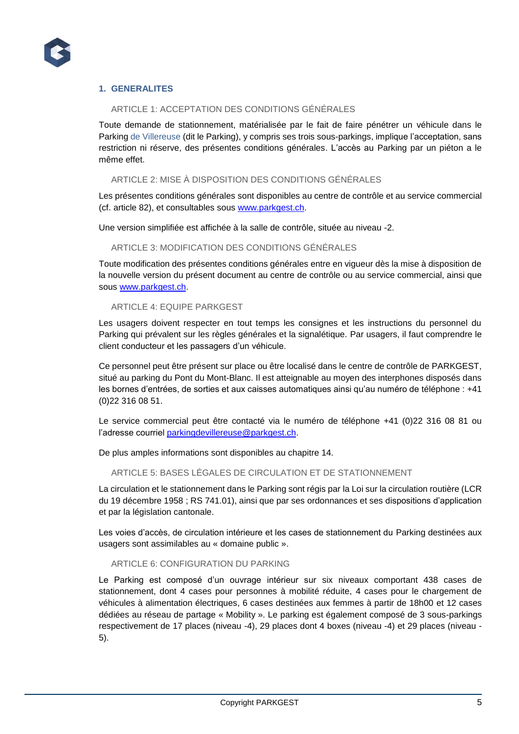

# **1. GENERALITES**

# ARTICLE 1: ACCEPTATION DES CONDITIONS GÉNÉRALES

Toute demande de stationnement, matérialisée par le fait de faire pénétrer un véhicule dans le Parking de Villereuse (dit le Parking), y compris ses trois sous-parkings, implique l'acceptation, sans restriction ni réserve, des présentes conditions générales. L'accès au Parking par un piéton a le même effet.

# ARTICLE 2: MISE À DISPOSITION DES CONDITIONS GÉNÉRALES

Les présentes conditions générales sont disponibles au centre de contrôle et au service commercial (cf. article 82), et consultables sous [www.parkgest.ch.](http://www.parkgest.ch/)

Une version simplifiée est affichée à la salle de contrôle, située au niveau -2.

# ARTICLE 3: MODIFICATION DES CONDITIONS GÉNÉRALES

Toute modification des présentes conditions générales entre en vigueur dès la mise à disposition de la nouvelle version du présent document au centre de contrôle ou au service commercial, ainsi que sous [www.parkgest.ch.](http://www.parkgest.ch/)

#### ARTICLE 4: EQUIPE PARKGEST

Les usagers doivent respecter en tout temps les consignes et les instructions du personnel du Parking qui prévalent sur les règles générales et la signalétique. Par usagers, il faut comprendre le client conducteur et les passagers d'un véhicule.

Ce personnel peut être présent sur place ou être localisé dans le centre de contrôle de PARKGEST, situé au parking du Pont du Mont-Blanc. Il est atteignable au moyen des interphones disposés dans les bornes d'entrées, de sorties et aux caisses automatiques ainsi qu'au numéro de téléphone : +41 (0)22 316 08 51.

Le service commercial peut être contacté via le numéro de téléphone +41 (0)22 316 08 81 ou l'adresse courriel [parkingdevillereuse@parkgest.ch.](mailto:parkingdevillereuse@parkgest.ch)

De plus amples informations sont disponibles au chapitre 14.

#### ARTICLE 5: BASES LÉGALES DE CIRCULATION ET DE STATIONNEMENT

La circulation et le stationnement dans le Parking sont régis par la Loi sur la circulation routière (LCR du 19 décembre 1958 ; RS 741.01), ainsi que par ses ordonnances et ses dispositions d'application et par la législation cantonale.

Les voies d'accès, de circulation intérieure et les cases de stationnement du Parking destinées aux usagers sont assimilables au « domaine public ».

#### ARTICLE 6: CONFIGURATION DU PARKING

Le Parking est composé d'un ouvrage intérieur sur six niveaux comportant 438 cases de stationnement, dont 4 cases pour personnes à mobilité réduite, 4 cases pour le chargement de véhicules à alimentation électriques, 6 cases destinées aux femmes à partir de 18h00 et 12 cases dédiées au réseau de partage « Mobility ». Le parking est également composé de 3 sous-parkings respectivement de 17 places (niveau -4), 29 places dont 4 boxes (niveau -4) et 29 places (niveau - 5).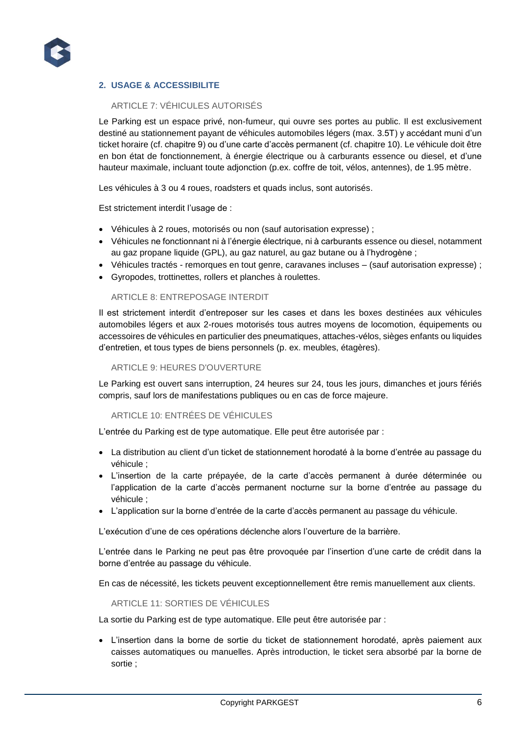

# **2. USAGE & ACCESSIBILITE**

# ARTICLE 7: VÉHICULES AUTORISÉS

Le Parking est un espace privé, non-fumeur, qui ouvre ses portes au public. Il est exclusivement destiné au stationnement payant de véhicules automobiles légers (max. 3.5T) y accédant muni d'un ticket horaire (cf. chapitre 9) ou d'une carte d'accès permanent (cf. chapitre 10). Le véhicule doit être en bon état de fonctionnement, à énergie électrique ou à carburants essence ou diesel, et d'une hauteur maximale, incluant toute adjonction (p.ex. coffre de toit, vélos, antennes), de 1.95 mètre.

Les véhicules à 3 ou 4 roues, roadsters et quads inclus, sont autorisés.

Est strictement interdit l'usage de :

- Véhicules à 2 roues, motorisés ou non (sauf autorisation expresse) ;
- Véhicules ne fonctionnant ni à l'énergie électrique, ni à carburants essence ou diesel, notamment au gaz propane liquide (GPL), au gaz naturel, au gaz butane ou à l'hydrogène ;
- Véhicules tractés remorques en tout genre, caravanes incluses (sauf autorisation expresse) ;
- Gyropodes, trottinettes, rollers et planches à roulettes.

#### ARTICLE 8: ENTREPOSAGE INTERDIT

Il est strictement interdit d'entreposer sur les cases et dans les boxes destinées aux véhicules automobiles légers et aux 2-roues motorisés tous autres moyens de locomotion, équipements ou accessoires de véhicules en particulier des pneumatiques, attaches-vélos, sièges enfants ou liquides d'entretien, et tous types de biens personnels (p. ex. meubles, étagères).

#### ARTICLE 9: HEURES D'OUVERTURE

Le Parking est ouvert sans interruption, 24 heures sur 24, tous les jours, dimanches et jours fériés compris, sauf lors de manifestations publiques ou en cas de force majeure.

#### ARTICLE 10: ENTRÉES DE VÉHICULES

L'entrée du Parking est de type automatique. Elle peut être autorisée par :

- La distribution au client d'un ticket de stationnement horodaté à la borne d'entrée au passage du véhicule ;
- L'insertion de la carte prépayée, de la carte d'accès permanent à durée déterminée ou l'application de la carte d'accès permanent nocturne sur la borne d'entrée au passage du véhicule ;
- L'application sur la borne d'entrée de la carte d'accès permanent au passage du véhicule.

L'exécution d'une de ces opérations déclenche alors l'ouverture de la barrière.

L'entrée dans le Parking ne peut pas être provoquée par l'insertion d'une carte de crédit dans la borne d'entrée au passage du véhicule.

En cas de nécessité, les tickets peuvent exceptionnellement être remis manuellement aux clients.

#### ARTICLE 11: SORTIES DE VÉHICULES

La sortie du Parking est de type automatique. Elle peut être autorisée par :

 L'insertion dans la borne de sortie du ticket de stationnement horodaté, après paiement aux caisses automatiques ou manuelles. Après introduction, le ticket sera absorbé par la borne de sortie ;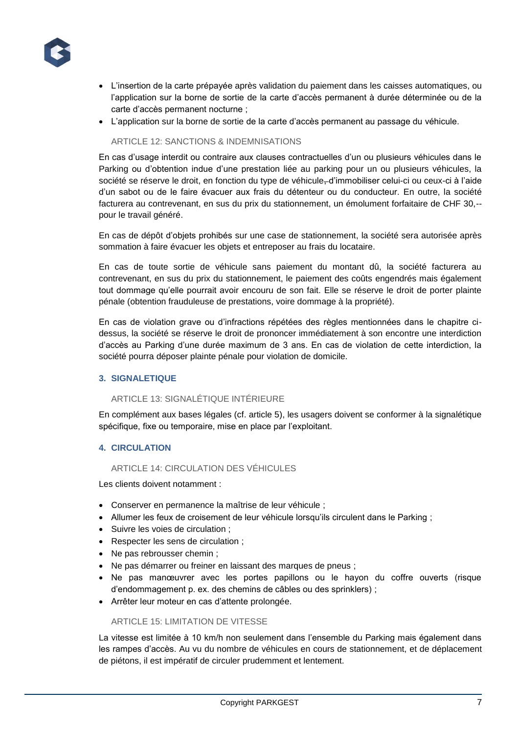

- L'insertion de la carte prépayée après validation du paiement dans les caisses automatiques, ou l'application sur la borne de sortie de la carte d'accès permanent à durée déterminée ou de la carte d'accès permanent nocturne ;
- L'application sur la borne de sortie de la carte d'accès permanent au passage du véhicule.

# ARTICLE 12: SANCTIONS & INDEMNISATIONS

En cas d'usage interdit ou contraire aux clauses contractuelles d'un ou plusieurs véhicules dans le Parking ou d'obtention indue d'une prestation liée au parking pour un ou plusieurs véhicules, la société se réserve le droit, en fonction du type de véhicule-d'immobiliser celui-ci ou ceux-ci à l'aide d'un sabot ou de le faire évacuer aux frais du détenteur ou du conducteur. En outre, la société facturera au contrevenant, en sus du prix du stationnement, un émolument forfaitaire de CHF 30,- pour le travail généré.

En cas de dépôt d'objets prohibés sur une case de stationnement, la société sera autorisée après sommation à faire évacuer les objets et entreposer au frais du locataire.

En cas de toute sortie de véhicule sans paiement du montant dû, la société facturera au contrevenant, en sus du prix du stationnement, le paiement des coûts engendrés mais également tout dommage qu'elle pourrait avoir encouru de son fait. Elle se réserve le droit de porter plainte pénale (obtention frauduleuse de prestations, voire dommage à la propriété).

En cas de violation grave ou d'infractions répétées des règles mentionnées dans le chapitre cidessus, la société se réserve le droit de prononcer immédiatement à son encontre une interdiction d'accès au Parking d'une durée maximum de 3 ans. En cas de violation de cette interdiction, la société pourra déposer plainte pénale pour violation de domicile.

# **3. SIGNALETIQUE**

# ARTICLE 13: SIGNALÉTIQUE INTÉRIEURE

En complément aux bases légales (cf. article 5), les usagers doivent se conformer à la signalétique spécifique, fixe ou temporaire, mise en place par l'exploitant.

# **4. CIRCULATION**

# ARTICLE 14: CIRCULATION DES VÉHICULES

Les clients doivent notamment :

- Conserver en permanence la maîtrise de leur véhicule ;
- Allumer les feux de croisement de leur véhicule lorsqu'ils circulent dans le Parking ;
- Suivre les voies de circulation ;
- Respecter les sens de circulation ;
- Ne pas rebrousser chemin ;
- Ne pas démarrer ou freiner en laissant des marques de pneus ;
- Ne pas manœuvrer avec les portes papillons ou le hayon du coffre ouverts (risque d'endommagement p. ex. des chemins de câbles ou des sprinklers) ;
- Arrêter leur moteur en cas d'attente prolongée.

# ARTICLE 15: LIMITATION DE VITESSE

La vitesse est limitée à 10 km/h non seulement dans l'ensemble du Parking mais également dans les rampes d'accès. Au vu du nombre de véhicules en cours de stationnement, et de déplacement de piétons, il est impératif de circuler prudemment et lentement.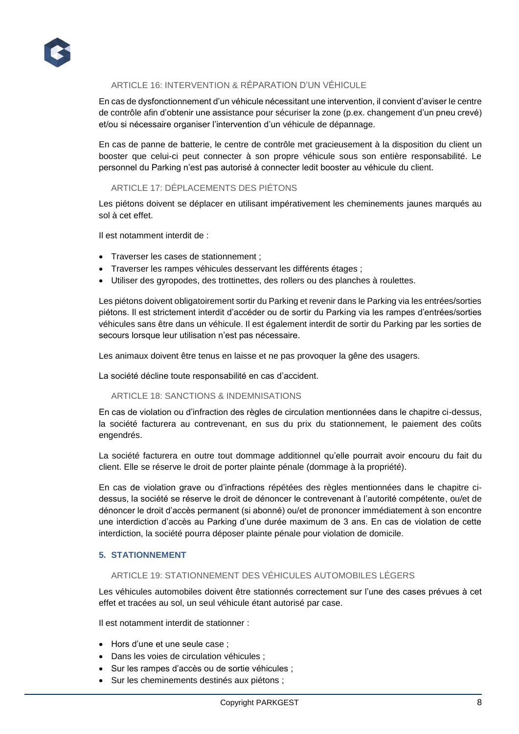

# ARTICLE 16: INTERVENTION & RÉPARATION D'UN VÉHICULE

En cas de dysfonctionnement d'un véhicule nécessitant une intervention, il convient d'aviser le centre de contrôle afin d'obtenir une assistance pour sécuriser la zone (p.ex. changement d'un pneu crevé) et/ou si nécessaire organiser l'intervention d'un véhicule de dépannage.

En cas de panne de batterie, le centre de contrôle met gracieusement à la disposition du client un booster que celui-ci peut connecter à son propre véhicule sous son entière responsabilité. Le personnel du Parking n'est pas autorisé à connecter ledit booster au véhicule du client.

# ARTICLE 17: DÉPLACEMENTS DES PIÉTONS

Les piétons doivent se déplacer en utilisant impérativement les cheminements jaunes marqués au sol à cet effet.

Il est notamment interdit de :

- Traverser les cases de stationnement ;
- Traverser les rampes véhicules desservant les différents étages ;
- Utiliser des gyropodes, des trottinettes, des rollers ou des planches à roulettes.

Les piétons doivent obligatoirement sortir du Parking et revenir dans le Parking via les entrées/sorties piétons. Il est strictement interdit d'accéder ou de sortir du Parking via les rampes d'entrées/sorties véhicules sans être dans un véhicule. Il est également interdit de sortir du Parking par les sorties de secours lorsque leur utilisation n'est pas nécessaire.

Les animaux doivent être tenus en laisse et ne pas provoquer la gêne des usagers.

La société décline toute responsabilité en cas d'accident.

# ARTICLE 18: SANCTIONS & INDEMNISATIONS

En cas de violation ou d'infraction des règles de circulation mentionnées dans le chapitre ci-dessus, la société facturera au contrevenant, en sus du prix du stationnement, le paiement des coûts engendrés.

La société facturera en outre tout dommage additionnel qu'elle pourrait avoir encouru du fait du client. Elle se réserve le droit de porter plainte pénale (dommage à la propriété).

En cas de violation grave ou d'infractions répétées des règles mentionnées dans le chapitre cidessus, la société se réserve le droit de dénoncer le contrevenant à l'autorité compétente, ou/et de dénoncer le droit d'accès permanent (si abonné) ou/et de prononcer immédiatement à son encontre une interdiction d'accès au Parking d'une durée maximum de 3 ans. En cas de violation de cette interdiction, la société pourra déposer plainte pénale pour violation de domicile.

# **5. STATIONNEMENT**

# ARTICLE 19: STATIONNEMENT DES VÉHICULES AUTOMOBILES LÉGERS

Les véhicules automobiles doivent être stationnés correctement sur l'une des cases prévues à cet effet et tracées au sol, un seul véhicule étant autorisé par case.

Il est notamment interdit de stationner :

- Hors d'une et une seule case ;
- Dans les voies de circulation véhicules ;
- Sur les rampes d'accès ou de sortie véhicules ;
- Sur les cheminements destinés aux piétons ;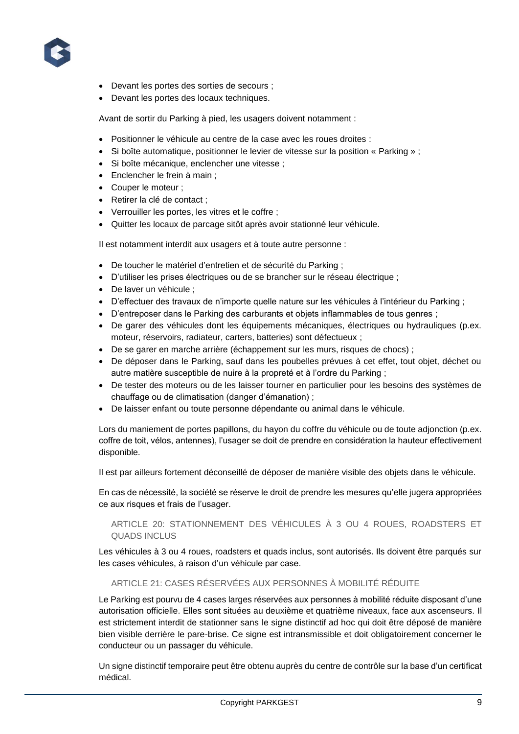

- Devant les portes des sorties de secours ;
- Devant les portes des locaux techniques.

Avant de sortir du Parking à pied, les usagers doivent notamment :

- Positionner le véhicule au centre de la case avec les roues droites :
- Si boîte automatique, positionner le levier de vitesse sur la position « Parking » ;
- Si boîte mécanique, enclencher une vitesse ;
- Enclencher le frein à main :
- Couper le moteur ;
- Retirer la clé de contact ;
- Verrouiller les portes, les vitres et le coffre ;
- Quitter les locaux de parcage sitôt après avoir stationné leur véhicule.

Il est notamment interdit aux usagers et à toute autre personne :

- De toucher le matériel d'entretien et de sécurité du Parking ;
- D'utiliser les prises électriques ou de se brancher sur le réseau électrique ;
- De laver un véhicule ;
- D'effectuer des travaux de n'importe quelle nature sur les véhicules à l'intérieur du Parking ;
- D'entreposer dans le Parking des carburants et objets inflammables de tous genres ;
- De garer des véhicules dont les équipements mécaniques, électriques ou hydrauliques (p.ex. moteur, réservoirs, radiateur, carters, batteries) sont défectueux ;
- De se garer en marche arrière (échappement sur les murs, risques de chocs) ;
- De déposer dans le Parking, sauf dans les poubelles prévues à cet effet, tout objet, déchet ou autre matière susceptible de nuire à la propreté et à l'ordre du Parking ;
- De tester des moteurs ou de les laisser tourner en particulier pour les besoins des systèmes de chauffage ou de climatisation (danger d'émanation) ;
- De laisser enfant ou toute personne dépendante ou animal dans le véhicule.

Lors du maniement de portes papillons, du hayon du coffre du véhicule ou de toute adjonction (p.ex. coffre de toit, vélos, antennes), l'usager se doit de prendre en considération la hauteur effectivement disponible.

Il est par ailleurs fortement déconseillé de déposer de manière visible des objets dans le véhicule.

En cas de nécessité, la société se réserve le droit de prendre les mesures qu'elle jugera appropriées ce aux risques et frais de l'usager.

# ARTICLE 20: STATIONNEMENT DES VÉHICULES À 3 OU 4 ROUES, ROADSTERS ET QUADS INCLUS

Les véhicules à 3 ou 4 roues, roadsters et quads inclus, sont autorisés. Ils doivent être parqués sur les cases véhicules, à raison d'un véhicule par case.

# ARTICLE 21: CASES RÉSERVÉES AUX PERSONNES À MOBILITÉ RÉDUITE

Le Parking est pourvu de 4 cases larges réservées aux personnes à mobilité réduite disposant d'une autorisation officielle. Elles sont situées au deuxième et quatrième niveaux, face aux ascenseurs. Il est strictement interdit de stationner sans le signe distinctif ad hoc qui doit être déposé de manière bien visible derrière le pare-brise. Ce signe est intransmissible et doit obligatoirement concerner le conducteur ou un passager du véhicule.

Un signe distinctif temporaire peut être obtenu auprès du centre de contrôle sur la base d'un certificat médical.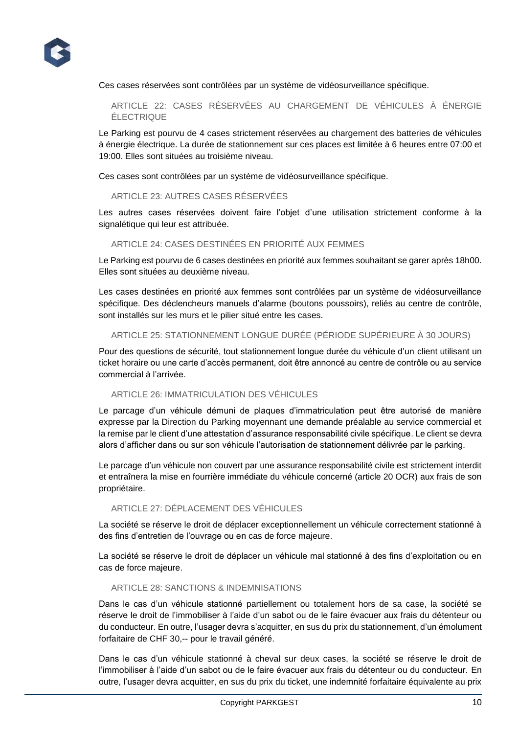

Ces cases réservées sont contrôlées par un système de vidéosurveillance spécifique.

ARTICLE 22: CASES RÉSERVÉES AU CHARGEMENT DE VÉHICULES À ÉNERGIE ÉLECTRIQUE

Le Parking est pourvu de 4 cases strictement réservées au chargement des batteries de véhicules à énergie électrique. La durée de stationnement sur ces places est limitée à 6 heures entre 07:00 et 19:00. Elles sont situées au troisième niveau.

Ces cases sont contrôlées par un système de vidéosurveillance spécifique.

# ARTICLE 23: AUTRES CASES RÉSERVÉES

Les autres cases réservées doivent faire l'objet d'une utilisation strictement conforme à la signalétique qui leur est attribuée.

# ARTICLE 24: CASES DESTINÉES EN PRIORITÉ AUX FEMMES

Le Parking est pourvu de 6 cases destinées en priorité aux femmes souhaitant se garer après 18h00. Elles sont situées au deuxième niveau.

Les cases destinées en priorité aux femmes sont contrôlées par un système de vidéosurveillance spécifique. Des déclencheurs manuels d'alarme (boutons poussoirs), reliés au centre de contrôle, sont installés sur les murs et le pilier situé entre les cases.

#### ARTICLE 25: STATIONNEMENT LONGUE DURÉE (PÉRIODE SUPÉRIEURE À 30 JOURS)

Pour des questions de sécurité, tout stationnement longue durée du véhicule d'un client utilisant un ticket horaire ou une carte d'accès permanent, doit être annoncé au centre de contrôle ou au service commercial à l'arrivée.

#### ARTICLE 26: IMMATRICULATION DES VÉHICULES

Le parcage d'un véhicule démuni de plaques d'immatriculation peut être autorisé de manière expresse par la Direction du Parking moyennant une demande préalable au service commercial et la remise par le client d'une attestation d'assurance responsabilité civile spécifique. Le client se devra alors d'afficher dans ou sur son véhicule l'autorisation de stationnement délivrée par le parking.

Le parcage d'un véhicule non couvert par une assurance responsabilité civile est strictement interdit et entraînera la mise en fourrière immédiate du véhicule concerné (article 20 OCR) aux frais de son propriétaire.

# ARTICLE 27: DÉPLACEMENT DES VÉHICULES

La société se réserve le droit de déplacer exceptionnellement un véhicule correctement stationné à des fins d'entretien de l'ouvrage ou en cas de force majeure.

La société se réserve le droit de déplacer un véhicule mal stationné à des fins d'exploitation ou en cas de force majeure.

#### ARTICLE 28: SANCTIONS & INDEMNISATIONS

Dans le cas d'un véhicule stationné partiellement ou totalement hors de sa case, la société se réserve le droit de l'immobiliser à l'aide d'un sabot ou de le faire évacuer aux frais du détenteur ou du conducteur. En outre, l'usager devra s'acquitter, en sus du prix du stationnement, d'un émolument forfaitaire de CHF 30,-- pour le travail généré.

Dans le cas d'un véhicule stationné à cheval sur deux cases, la société se réserve le droit de l'immobiliser à l'aide d'un sabot ou de le faire évacuer aux frais du détenteur ou du conducteur. En outre, l'usager devra acquitter, en sus du prix du ticket, une indemnité forfaitaire équivalente au prix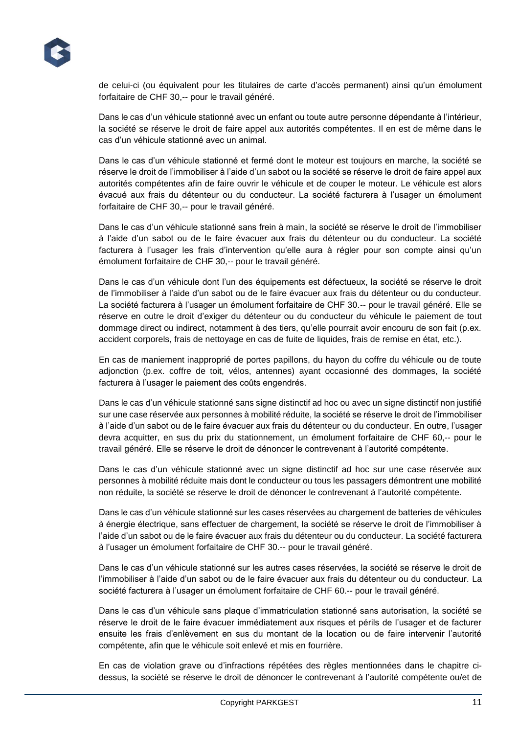

de celui-ci (ou équivalent pour les titulaires de carte d'accès permanent) ainsi qu'un émolument forfaitaire de CHF 30,-- pour le travail généré.

Dans le cas d'un véhicule stationné avec un enfant ou toute autre personne dépendante à l'intérieur, la société se réserve le droit de faire appel aux autorités compétentes. Il en est de même dans le cas d'un véhicule stationné avec un animal.

Dans le cas d'un véhicule stationné et fermé dont le moteur est toujours en marche, la société se réserve le droit de l'immobiliser à l'aide d'un sabot ou la société se réserve le droit de faire appel aux autorités compétentes afin de faire ouvrir le véhicule et de couper le moteur. Le véhicule est alors évacué aux frais du détenteur ou du conducteur. La société facturera à l'usager un émolument forfaitaire de CHF 30,-- pour le travail généré.

Dans le cas d'un véhicule stationné sans frein à main, la société se réserve le droit de l'immobiliser à l'aide d'un sabot ou de le faire évacuer aux frais du détenteur ou du conducteur. La société facturera à l'usager les frais d'intervention qu'elle aura à régler pour son compte ainsi qu'un émolument forfaitaire de CHF 30,-- pour le travail généré.

Dans le cas d'un véhicule dont l'un des équipements est défectueux, la société se réserve le droit de l'immobiliser à l'aide d'un sabot ou de le faire évacuer aux frais du détenteur ou du conducteur. La société facturera à l'usager un émolument forfaitaire de CHF 30.-- pour le travail généré. Elle se réserve en outre le droit d'exiger du détenteur ou du conducteur du véhicule le paiement de tout dommage direct ou indirect, notamment à des tiers, qu'elle pourrait avoir encouru de son fait (p.ex. accident corporels, frais de nettoyage en cas de fuite de liquides, frais de remise en état, etc.).

En cas de maniement inapproprié de portes papillons, du hayon du coffre du véhicule ou de toute adjonction (p.ex. coffre de toit, vélos, antennes) ayant occasionné des dommages, la société facturera à l'usager le paiement des coûts engendrés.

Dans le cas d'un véhicule stationné sans signe distinctif ad hoc ou avec un signe distinctif non justifié sur une case réservée aux personnes à mobilité réduite, la société se réserve le droit de l'immobiliser à l'aide d'un sabot ou de le faire évacuer aux frais du détenteur ou du conducteur. En outre, l'usager devra acquitter, en sus du prix du stationnement, un émolument forfaitaire de CHF 60,-- pour le travail généré. Elle se réserve le droit de dénoncer le contrevenant à l'autorité compétente.

Dans le cas d'un véhicule stationné avec un signe distinctif ad hoc sur une case réservée aux personnes à mobilité réduite mais dont le conducteur ou tous les passagers démontrent une mobilité non réduite, la société se réserve le droit de dénoncer le contrevenant à l'autorité compétente.

Dans le cas d'un véhicule stationné sur les cases réservées au chargement de batteries de véhicules à énergie électrique, sans effectuer de chargement, la société se réserve le droit de l'immobiliser à l'aide d'un sabot ou de le faire évacuer aux frais du détenteur ou du conducteur. La société facturera à l'usager un émolument forfaitaire de CHF 30.-- pour le travail généré.

Dans le cas d'un véhicule stationné sur les autres cases réservées, la société se réserve le droit de l'immobiliser à l'aide d'un sabot ou de le faire évacuer aux frais du détenteur ou du conducteur. La société facturera à l'usager un émolument forfaitaire de CHF 60.-- pour le travail généré.

Dans le cas d'un véhicule sans plaque d'immatriculation stationné sans autorisation, la société se réserve le droit de le faire évacuer immédiatement aux risques et périls de l'usager et de facturer ensuite les frais d'enlèvement en sus du montant de la location ou de faire intervenir l'autorité compétente, afin que le véhicule soit enlevé et mis en fourrière.

En cas de violation grave ou d'infractions répétées des règles mentionnées dans le chapitre cidessus, la société se réserve le droit de dénoncer le contrevenant à l'autorité compétente ou/et de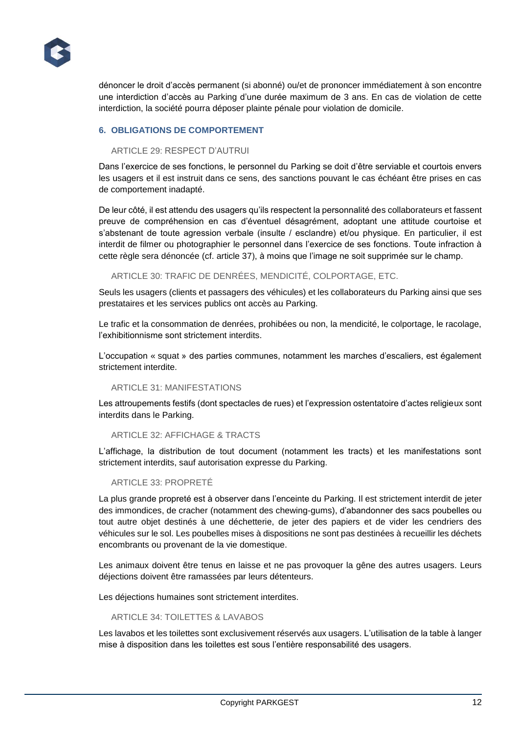

dénoncer le droit d'accès permanent (si abonné) ou/et de prononcer immédiatement à son encontre une interdiction d'accès au Parking d'une durée maximum de 3 ans. En cas de violation de cette interdiction, la société pourra déposer plainte pénale pour violation de domicile.

# **6. OBLIGATIONS DE COMPORTEMENT**

#### ARTICLE 29: RESPECT D'AUTRUI

Dans l'exercice de ses fonctions, le personnel du Parking se doit d'être serviable et courtois envers les usagers et il est instruit dans ce sens, des sanctions pouvant le cas échéant être prises en cas de comportement inadapté.

De leur côté, il est attendu des usagers qu'ils respectent la personnalité des collaborateurs et fassent preuve de compréhension en cas d'éventuel désagrément, adoptant une attitude courtoise et s'abstenant de toute agression verbale (insulte / esclandre) et/ou physique. En particulier, il est interdit de filmer ou photographier le personnel dans l'exercice de ses fonctions. Toute infraction à cette règle sera dénoncée (cf. article 37), à moins que l'image ne soit supprimée sur le champ.

ARTICLE 30: TRAFIC DE DENRÉES, MENDICITÉ, COLPORTAGE, ETC.

Seuls les usagers (clients et passagers des véhicules) et les collaborateurs du Parking ainsi que ses prestataires et les services publics ont accès au Parking.

Le trafic et la consommation de denrées, prohibées ou non, la mendicité, le colportage, le racolage, l'exhibitionnisme sont strictement interdits.

L'occupation « squat » des parties communes, notamment les marches d'escaliers, est également strictement interdite.

#### ARTICLE 31: MANIFESTATIONS

Les attroupements festifs (dont spectacles de rues) et l'expression ostentatoire d'actes religieux sont interdits dans le Parking.

#### ARTICLE 32: AFFICHAGE & TRACTS

L'affichage, la distribution de tout document (notamment les tracts) et les manifestations sont strictement interdits, sauf autorisation expresse du Parking.

#### ARTICLE 33: PROPRETÉ

La plus grande propreté est à observer dans l'enceinte du Parking. Il est strictement interdit de jeter des immondices, de cracher (notamment des chewing-gums), d'abandonner des sacs poubelles ou tout autre objet destinés à une déchetterie, de jeter des papiers et de vider les cendriers des véhicules sur le sol. Les poubelles mises à dispositions ne sont pas destinées à recueillir les déchets encombrants ou provenant de la vie domestique.

Les animaux doivent être tenus en laisse et ne pas provoquer la gêne des autres usagers. Leurs déjections doivent être ramassées par leurs détenteurs.

Les déjections humaines sont strictement interdites.

# ARTICLE 34: TOILETTES & LAVABOS

Les lavabos et les toilettes sont exclusivement réservés aux usagers. L'utilisation de la table à langer mise à disposition dans les toilettes est sous l'entière responsabilité des usagers.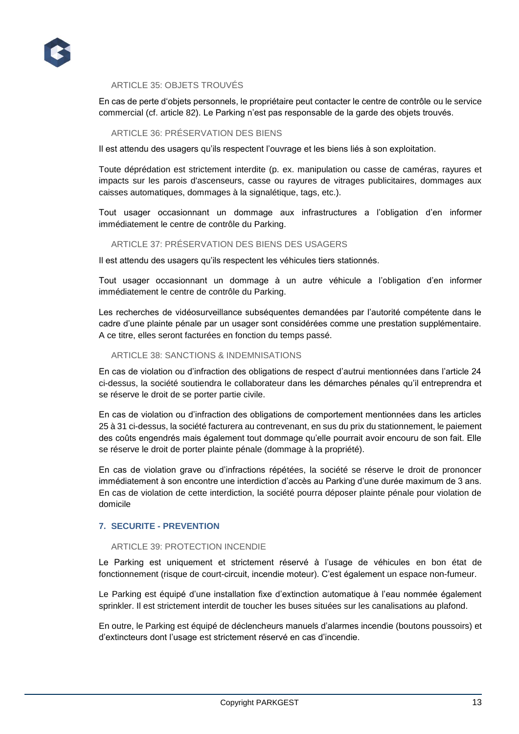

#### ARTICLE 35: OBJETS TROUVÉS

En cas de perte d'objets personnels, le propriétaire peut contacter le centre de contrôle ou le service commercial (cf. article 82). Le Parking n'est pas responsable de la garde des objets trouvés.

#### ARTICLE 36: PRÉSERVATION DES BIENS

Il est attendu des usagers qu'ils respectent l'ouvrage et les biens liés à son exploitation.

Toute déprédation est strictement interdite (p. ex. manipulation ou casse de caméras, rayures et impacts sur les parois d'ascenseurs, casse ou rayures de vitrages publicitaires, dommages aux caisses automatiques, dommages à la signalétique, tags, etc.).

Tout usager occasionnant un dommage aux infrastructures a l'obligation d'en informer immédiatement le centre de contrôle du Parking.

#### ARTICLE 37: PRÉSERVATION DES BIENS DES USAGERS

Il est attendu des usagers qu'ils respectent les véhicules tiers stationnés.

Tout usager occasionnant un dommage à un autre véhicule a l'obligation d'en informer immédiatement le centre de contrôle du Parking.

Les recherches de vidéosurveillance subséquentes demandées par l'autorité compétente dans le cadre d'une plainte pénale par un usager sont considérées comme une prestation supplémentaire. A ce titre, elles seront facturées en fonction du temps passé.

#### ARTICLE 38: SANCTIONS & INDEMNISATIONS

En cas de violation ou d'infraction des obligations de respect d'autrui mentionnées dans l'article 24 ci-dessus, la société soutiendra le collaborateur dans les démarches pénales qu'il entreprendra et se réserve le droit de se porter partie civile.

En cas de violation ou d'infraction des obligations de comportement mentionnées dans les articles 25 à 31 ci-dessus, la société facturera au contrevenant, en sus du prix du stationnement, le paiement des coûts engendrés mais également tout dommage qu'elle pourrait avoir encouru de son fait. Elle se réserve le droit de porter plainte pénale (dommage à la propriété).

En cas de violation grave ou d'infractions répétées, la société se réserve le droit de prononcer immédiatement à son encontre une interdiction d'accès au Parking d'une durée maximum de 3 ans. En cas de violation de cette interdiction, la société pourra déposer plainte pénale pour violation de domicile

#### **7. SECURITE - PREVENTION**

#### ARTICLE 39: PROTECTION INCENDIE

Le Parking est uniquement et strictement réservé à l'usage de véhicules en bon état de fonctionnement (risque de court-circuit, incendie moteur). C'est également un espace non-fumeur.

Le Parking est équipé d'une installation fixe d'extinction automatique à l'eau nommée également sprinkler. Il est strictement interdit de toucher les buses situées sur les canalisations au plafond.

En outre, le Parking est équipé de déclencheurs manuels d'alarmes incendie (boutons poussoirs) et d'extincteurs dont l'usage est strictement réservé en cas d'incendie.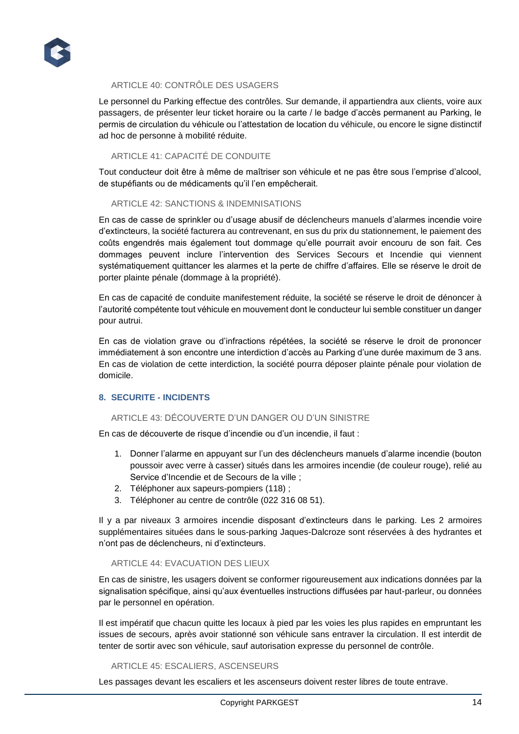

# ARTICLE 40: CONTRÔLE DES USAGERS

Le personnel du Parking effectue des contrôles. Sur demande, il appartiendra aux clients, voire aux passagers, de présenter leur ticket horaire ou la carte / le badge d'accès permanent au Parking, le permis de circulation du véhicule ou l'attestation de location du véhicule, ou encore le signe distinctif ad hoc de personne à mobilité réduite.

# ARTICLE 41: CAPACITÉ DE CONDUITE

Tout conducteur doit être à même de maîtriser son véhicule et ne pas être sous l'emprise d'alcool, de stupéfiants ou de médicaments qu'il l'en empêcherait.

# ARTICLE 42: SANCTIONS & INDEMNISATIONS

En cas de casse de sprinkler ou d'usage abusif de déclencheurs manuels d'alarmes incendie voire d'extincteurs, la société facturera au contrevenant, en sus du prix du stationnement, le paiement des coûts engendrés mais également tout dommage qu'elle pourrait avoir encouru de son fait. Ces dommages peuvent inclure l'intervention des Services Secours et Incendie qui viennent systématiquement quittancer les alarmes et la perte de chiffre d'affaires. Elle se réserve le droit de porter plainte pénale (dommage à la propriété).

En cas de capacité de conduite manifestement réduite, la société se réserve le droit de dénoncer à l'autorité compétente tout véhicule en mouvement dont le conducteur lui semble constituer un danger pour autrui.

En cas de violation grave ou d'infractions répétées, la société se réserve le droit de prononcer immédiatement à son encontre une interdiction d'accès au Parking d'une durée maximum de 3 ans. En cas de violation de cette interdiction, la société pourra déposer plainte pénale pour violation de domicile.

# **8. SECURITE - INCIDENTS**

# ARTICLE 43: DÉCOUVERTE D'UN DANGER OU D'UN SINISTRE

En cas de découverte de risque d'incendie ou d'un incendie, il faut :

- 1. Donner l'alarme en appuyant sur l'un des déclencheurs manuels d'alarme incendie (bouton poussoir avec verre à casser) situés dans les armoires incendie (de couleur rouge), relié au Service d'Incendie et de Secours de la ville ;
- 2. Téléphoner aux sapeurs-pompiers (118) ;
- 3. Téléphoner au centre de contrôle (022 316 08 51).

Il y a par niveaux 3 armoires incendie disposant d'extincteurs dans le parking. Les 2 armoires supplémentaires situées dans le sous-parking Jaques-Dalcroze sont réservées à des hydrantes et n'ont pas de déclencheurs, ni d'extincteurs.

# ARTICLE 44: EVACUATION DES LIEUX

En cas de sinistre, les usagers doivent se conformer rigoureusement aux indications données par la signalisation spécifique, ainsi qu'aux éventuelles instructions diffusées par haut-parleur, ou données par le personnel en opération.

Il est impératif que chacun quitte les locaux à pied par les voies les plus rapides en empruntant les issues de secours, après avoir stationné son véhicule sans entraver la circulation. Il est interdit de tenter de sortir avec son véhicule, sauf autorisation expresse du personnel de contrôle.

#### ARTICLE 45: ESCALIERS, ASCENSEURS

Les passages devant les escaliers et les ascenseurs doivent rester libres de toute entrave.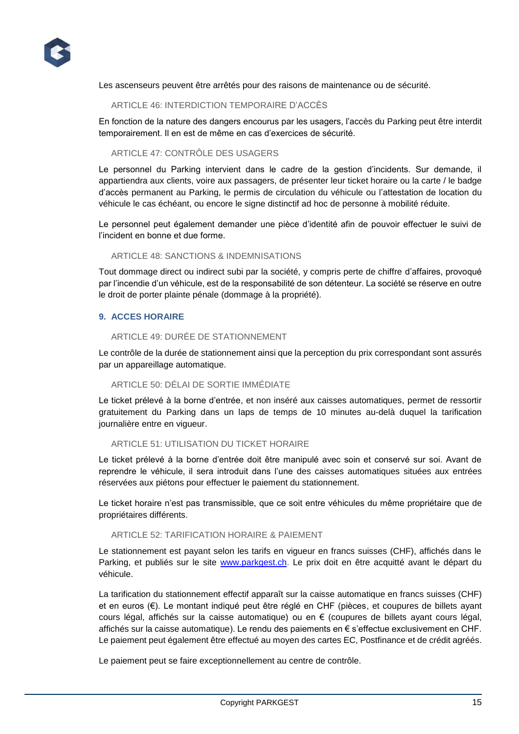

Les ascenseurs peuvent être arrêtés pour des raisons de maintenance ou de sécurité.

# ARTICLE 46: INTERDICTION TEMPORAIRE D'ACCÈS

En fonction de la nature des dangers encourus par les usagers, l'accès du Parking peut être interdit temporairement. Il en est de même en cas d'exercices de sécurité.

# ARTICLE 47: CONTRÔLE DES USAGERS

Le personnel du Parking intervient dans le cadre de la gestion d'incidents. Sur demande, il appartiendra aux clients, voire aux passagers, de présenter leur ticket horaire ou la carte / le badge d'accès permanent au Parking, le permis de circulation du véhicule ou l'attestation de location du véhicule le cas échéant, ou encore le signe distinctif ad hoc de personne à mobilité réduite.

Le personnel peut également demander une pièce d'identité afin de pouvoir effectuer le suivi de l'incident en bonne et due forme.

# ARTICLE 48: SANCTIONS & INDEMNISATIONS

Tout dommage direct ou indirect subi par la société, y compris perte de chiffre d'affaires, provoqué par l'incendie d'un véhicule, est de la responsabilité de son détenteur. La société se réserve en outre le droit de porter plainte pénale (dommage à la propriété).

#### **9. ACCES HORAIRE**

#### ARTICLE 49: DURÉE DE STATIONNEMENT

Le contrôle de la durée de stationnement ainsi que la perception du prix correspondant sont assurés par un appareillage automatique.

#### ARTICLE 50: DÉLAI DE SORTIE IMMÉDIATE

Le ticket prélevé à la borne d'entrée, et non inséré aux caisses automatiques, permet de ressortir gratuitement du Parking dans un laps de temps de 10 minutes au-delà duquel la tarification journalière entre en vigueur.

#### ARTICLE 51: UTILISATION DU TICKET HORAIRE

Le ticket prélevé à la borne d'entrée doit être manipulé avec soin et conservé sur soi. Avant de reprendre le véhicule, il sera introduit dans l'une des caisses automatiques situées aux entrées réservées aux piétons pour effectuer le paiement du stationnement.

Le ticket horaire n'est pas transmissible, que ce soit entre véhicules du même propriétaire que de propriétaires différents.

# ARTICLE 52: TARIFICATION HORAIRE & PAIEMENT

Le stationnement est payant selon les tarifs en vigueur en francs suisses (CHF), affichés dans le Parking, et publiés sur le site [www.parkgest.ch.](http://www.parkgest.ch/) Le prix doit en être acquitté avant le départ du véhicule.

La tarification du stationnement effectif apparaît sur la caisse automatique en francs suisses (CHF) et en euros (€). Le montant indiqué peut être réglé en CHF (pièces, et coupures de billets ayant cours légal, affichés sur la caisse automatique) ou en € (coupures de billets ayant cours légal, affichés sur la caisse automatique). Le rendu des paiements en € s'effectue exclusivement en CHF. Le paiement peut également être effectué au moyen des cartes EC, Postfinance et de crédit agréés.

Le paiement peut se faire exceptionnellement au centre de contrôle.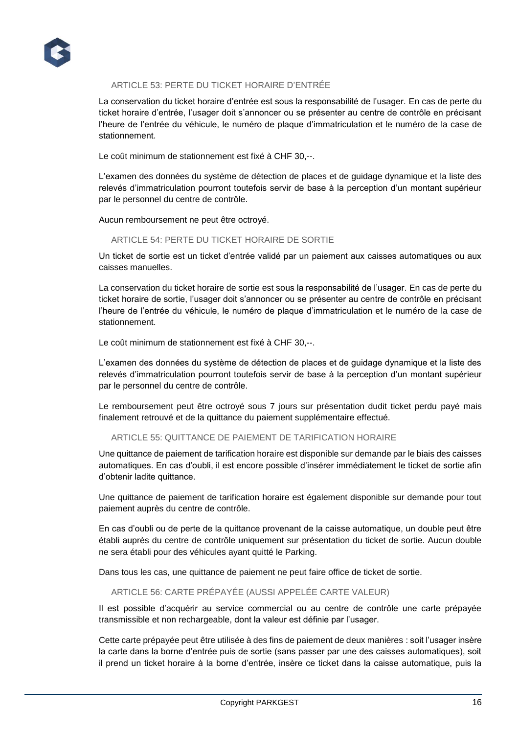

# ARTICLE 53: PERTE DU TICKET HORAIRE D'ENTRÉE

La conservation du ticket horaire d'entrée est sous la responsabilité de l'usager. En cas de perte du ticket horaire d'entrée, l'usager doit s'annoncer ou se présenter au centre de contrôle en précisant l'heure de l'entrée du véhicule, le numéro de plaque d'immatriculation et le numéro de la case de stationnement.

Le coût minimum de stationnement est fixé à CHF 30,--.

L'examen des données du système de détection de places et de guidage dynamique et la liste des relevés d'immatriculation pourront toutefois servir de base à la perception d'un montant supérieur par le personnel du centre de contrôle.

Aucun remboursement ne peut être octroyé.

#### ARTICLE 54: PERTE DU TICKET HORAIRE DE SORTIE

Un ticket de sortie est un ticket d'entrée validé par un paiement aux caisses automatiques ou aux caisses manuelles.

La conservation du ticket horaire de sortie est sous la responsabilité de l'usager. En cas de perte du ticket horaire de sortie, l'usager doit s'annoncer ou se présenter au centre de contrôle en précisant l'heure de l'entrée du véhicule, le numéro de plaque d'immatriculation et le numéro de la case de stationnement.

Le coût minimum de stationnement est fixé à CHF 30,--.

L'examen des données du système de détection de places et de guidage dynamique et la liste des relevés d'immatriculation pourront toutefois servir de base à la perception d'un montant supérieur par le personnel du centre de contrôle.

Le remboursement peut être octroyé sous 7 jours sur présentation dudit ticket perdu payé mais finalement retrouvé et de la quittance du paiement supplémentaire effectué.

#### ARTICLE 55: QUITTANCE DE PAIEMENT DE TARIFICATION HORAIRE

Une quittance de paiement de tarification horaire est disponible sur demande par le biais des caisses automatiques. En cas d'oubli, il est encore possible d'insérer immédiatement le ticket de sortie afin d'obtenir ladite quittance.

Une quittance de paiement de tarification horaire est également disponible sur demande pour tout paiement auprès du centre de contrôle.

En cas d'oubli ou de perte de la quittance provenant de la caisse automatique, un double peut être établi auprès du centre de contrôle uniquement sur présentation du ticket de sortie. Aucun double ne sera établi pour des véhicules ayant quitté le Parking.

Dans tous les cas, une quittance de paiement ne peut faire office de ticket de sortie.

# ARTICLE 56: CARTE PRÉPAYÉE (AUSSI APPELÉE CARTE VALEUR)

Il est possible d'acquérir au service commercial ou au centre de contrôle une carte prépayée transmissible et non rechargeable, dont la valeur est définie par l'usager.

Cette carte prépayée peut être utilisée à des fins de paiement de deux manières : soit l'usager insère la carte dans la borne d'entrée puis de sortie (sans passer par une des caisses automatiques), soit il prend un ticket horaire à la borne d'entrée, insère ce ticket dans la caisse automatique, puis la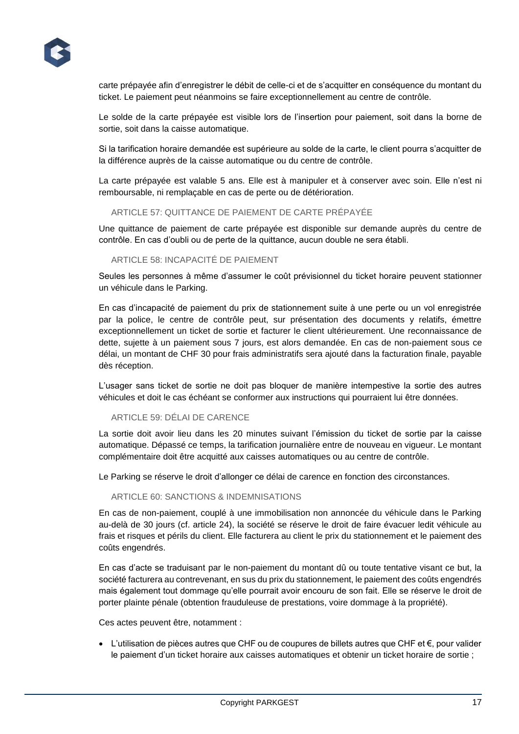

carte prépayée afin d'enregistrer le débit de celle-ci et de s'acquitter en conséquence du montant du ticket. Le paiement peut néanmoins se faire exceptionnellement au centre de contrôle.

Le solde de la carte prépayée est visible lors de l'insertion pour paiement, soit dans la borne de sortie, soit dans la caisse automatique.

Si la tarification horaire demandée est supérieure au solde de la carte, le client pourra s'acquitter de la différence auprès de la caisse automatique ou du centre de contrôle.

La carte prépayée est valable 5 ans. Elle est à manipuler et à conserver avec soin. Elle n'est ni remboursable, ni remplaçable en cas de perte ou de détérioration.

# ARTICLE 57: QUITTANCE DE PAIEMENT DE CARTE PRÉPAYÉE

Une quittance de paiement de carte prépayée est disponible sur demande auprès du centre de contrôle. En cas d'oubli ou de perte de la quittance, aucun double ne sera établi.

#### ARTICLE 58: INCAPACITÉ DE PAIEMENT

Seules les personnes à même d'assumer le coût prévisionnel du ticket horaire peuvent stationner un véhicule dans le Parking.

En cas d'incapacité de paiement du prix de stationnement suite à une perte ou un vol enregistrée par la police, le centre de contrôle peut, sur présentation des documents y relatifs, émettre exceptionnellement un ticket de sortie et facturer le client ultérieurement. Une reconnaissance de dette, sujette à un paiement sous 7 jours, est alors demandée. En cas de non-paiement sous ce délai, un montant de CHF 30 pour frais administratifs sera ajouté dans la facturation finale, payable dès réception.

L'usager sans ticket de sortie ne doit pas bloquer de manière intempestive la sortie des autres véhicules et doit le cas échéant se conformer aux instructions qui pourraient lui être données.

#### ARTICLE 59: DÉLAI DE CARENCE

La sortie doit avoir lieu dans les 20 minutes suivant l'émission du ticket de sortie par la caisse automatique. Dépassé ce temps, la tarification journalière entre de nouveau en vigueur. Le montant complémentaire doit être acquitté aux caisses automatiques ou au centre de contrôle.

Le Parking se réserve le droit d'allonger ce délai de carence en fonction des circonstances.

#### ARTICLE 60: SANCTIONS & INDEMNISATIONS

En cas de non-paiement, couplé à une immobilisation non annoncée du véhicule dans le Parking au-delà de 30 jours (cf. article 24), la société se réserve le droit de faire évacuer ledit véhicule au frais et risques et périls du client. Elle facturera au client le prix du stationnement et le paiement des coûts engendrés.

En cas d'acte se traduisant par le non-paiement du montant dû ou toute tentative visant ce but, la société facturera au contrevenant, en sus du prix du stationnement, le paiement des coûts engendrés mais également tout dommage qu'elle pourrait avoir encouru de son fait. Elle se réserve le droit de porter plainte pénale (obtention frauduleuse de prestations, voire dommage à la propriété).

Ces actes peuvent être, notamment :

 L'utilisation de pièces autres que CHF ou de coupures de billets autres que CHF et €, pour valider le paiement d'un ticket horaire aux caisses automatiques et obtenir un ticket horaire de sortie ;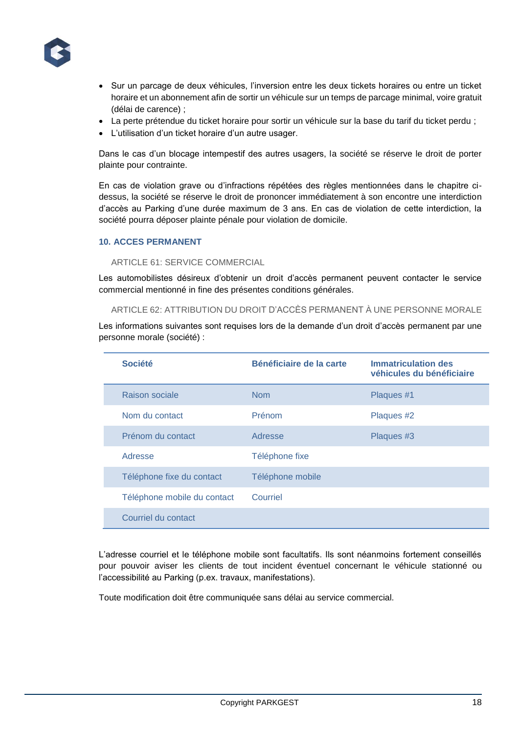

- Sur un parcage de deux véhicules, l'inversion entre les deux tickets horaires ou entre un ticket horaire et un abonnement afin de sortir un véhicule sur un temps de parcage minimal, voire gratuit (délai de carence) ;
- La perte prétendue du ticket horaire pour sortir un véhicule sur la base du tarif du ticket perdu ;
- L'utilisation d'un ticket horaire d'un autre usager.

Dans le cas d'un blocage intempestif des autres usagers, la société se réserve le droit de porter plainte pour contrainte.

En cas de violation grave ou d'infractions répétées des règles mentionnées dans le chapitre cidessus, la société se réserve le droit de prononcer immédiatement à son encontre une interdiction d'accès au Parking d'une durée maximum de 3 ans. En cas de violation de cette interdiction, la société pourra déposer plainte pénale pour violation de domicile.

# **10. ACCES PERMANENT**

# ARTICLE 61: SERVICE COMMERCIAL

Les automobilistes désireux d'obtenir un droit d'accès permanent peuvent contacter le service commercial mentionné in fine des présentes conditions générales.

ARTICLE 62: ATTRIBUTION DU DROIT D'ACCÈS PERMANENT À UNE PERSONNE MORALE

Les informations suivantes sont requises lors de la demande d'un droit d'accès permanent par une personne morale (société) :

| <b>Société</b>              | Bénéficiaire de la carte | <b>Immatriculation des</b><br>véhicules du bénéficiaire |
|-----------------------------|--------------------------|---------------------------------------------------------|
| Raison sociale              | <b>Nom</b>               | Plaques #1                                              |
| Nom du contact              | <b>Prénom</b>            | Plaques #2                                              |
| Prénom du contact           | Adresse                  | Plaques #3                                              |
| Adresse                     | Téléphone fixe           |                                                         |
| Téléphone fixe du contact   | Téléphone mobile         |                                                         |
| Téléphone mobile du contact | Courriel                 |                                                         |
| Courriel du contact         |                          |                                                         |

L'adresse courriel et le téléphone mobile sont facultatifs. Ils sont néanmoins fortement conseillés pour pouvoir aviser les clients de tout incident éventuel concernant le véhicule stationné ou l'accessibilité au Parking (p.ex. travaux, manifestations).

Toute modification doit être communiquée sans délai au service commercial.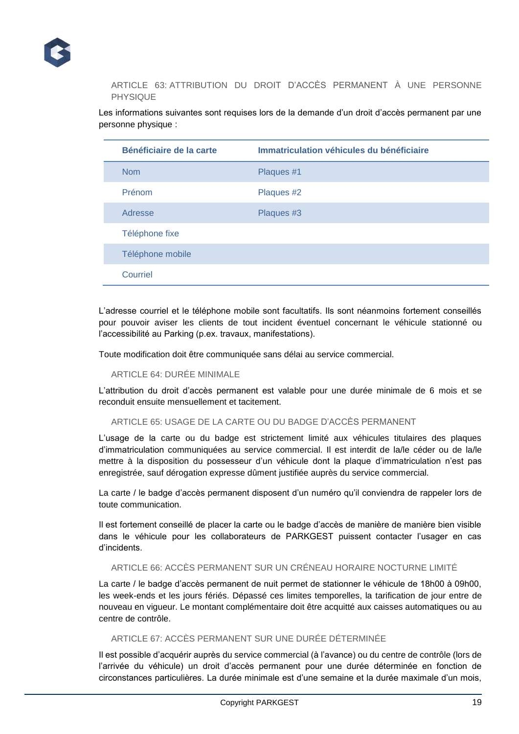

ARTICLE 63: ATTRIBUTION DU DROIT D'ACCÈS PERMANENT À UNE PERSONNE PHYSIQUE

Les informations suivantes sont requises lors de la demande d'un droit d'accès permanent par une personne physique :

| Bénéficiaire de la carte | Immatriculation véhicules du bénéficiaire |
|--------------------------|-------------------------------------------|
| <b>Nom</b>               | Plaques #1                                |
| Prénom                   | Plaques #2                                |
| Adresse                  | Plaques #3                                |
| Téléphone fixe           |                                           |
| Téléphone mobile         |                                           |
| Courriel                 |                                           |

L'adresse courriel et le téléphone mobile sont facultatifs. Ils sont néanmoins fortement conseillés pour pouvoir aviser les clients de tout incident éventuel concernant le véhicule stationné ou l'accessibilité au Parking (p.ex. travaux, manifestations).

Toute modification doit être communiquée sans délai au service commercial.

ARTICLE 64: DURÉE MINIMALE

L'attribution du droit d'accès permanent est valable pour une durée minimale de 6 mois et se reconduit ensuite mensuellement et tacitement.

ARTICLE 65: USAGE DE LA CARTE OU DU BADGE D'ACCÈS PERMANENT

L'usage de la carte ou du badge est strictement limité aux véhicules titulaires des plaques d'immatriculation communiquées au service commercial. Il est interdit de la/le céder ou de la/le mettre à la disposition du possesseur d'un véhicule dont la plaque d'immatriculation n'est pas enregistrée, sauf dérogation expresse dûment justifiée auprès du service commercial.

La carte / le badge d'accès permanent disposent d'un numéro qu'il conviendra de rappeler lors de toute communication.

Il est fortement conseillé de placer la carte ou le badge d'accès de manière de manière bien visible dans le véhicule pour les collaborateurs de PARKGEST puissent contacter l'usager en cas d'incidents.

# ARTICLE 66: ACCÈS PERMANENT SUR UN CRÉNEAU HORAIRE NOCTURNE LIMITÉ

La carte / le badge d'accès permanent de nuit permet de stationner le véhicule de 18h00 à 09h00, les week-ends et les jours fériés. Dépassé ces limites temporelles, la tarification de jour entre de nouveau en vigueur. Le montant complémentaire doit être acquitté aux caisses automatiques ou au centre de contrôle.

ARTICLE 67: ACCÈS PERMANENT SUR UNE DURÉE DÉTERMINÉE

Il est possible d'acquérir auprès du service commercial (à l'avance) ou du centre de contrôle (lors de l'arrivée du véhicule) un droit d'accès permanent pour une durée déterminée en fonction de circonstances particulières. La durée minimale est d'une semaine et la durée maximale d'un mois,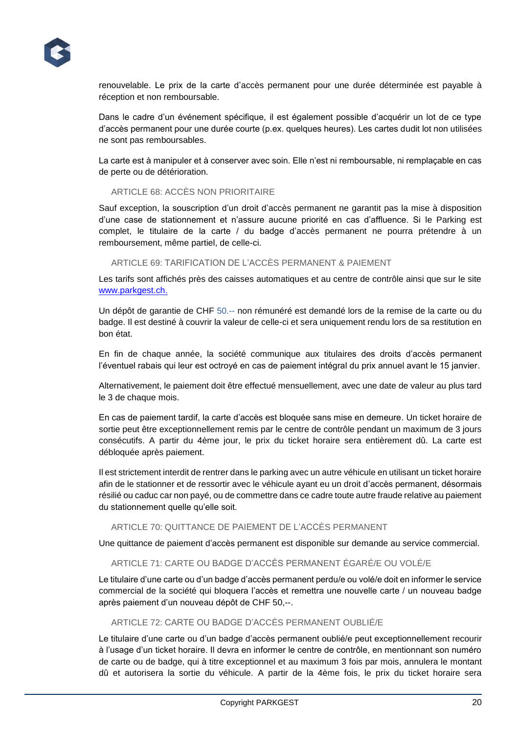

renouvelable. Le prix de la carte d'accès permanent pour une durée déterminée est payable à réception et non remboursable.

Dans le cadre d'un événement spécifique, il est également possible d'acquérir un lot de ce type d'accès permanent pour une durée courte (p.ex. quelques heures). Les cartes dudit lot non utilisées ne sont pas remboursables.

La carte est à manipuler et à conserver avec soin. Elle n'est ni remboursable, ni remplaçable en cas de perte ou de détérioration.

# ARTICLE 68: ACCÈS NON PRIORITAIRE

Sauf exception, la souscription d'un droit d'accès permanent ne garantit pas la mise à disposition d'une case de stationnement et n'assure aucune priorité en cas d'affluence. Si le Parking est complet, le titulaire de la carte / du badge d'accès permanent ne pourra prétendre à un remboursement, même partiel, de celle-ci.

ARTICLE 69: TARIFICATION DE L'ACCÈS PERMANENT & PAIEMENT

Les tarifs sont affichés près des caisses automatiques et au centre de contrôle ainsi que sur le site [www.parkgest.ch.](http://www.parkgest.ch/)

Un dépôt de garantie de CHF 50.-- non rémunéré est demandé lors de la remise de la carte ou du badge. Il est destiné à couvrir la valeur de celle-ci et sera uniquement rendu lors de sa restitution en bon état.

En fin de chaque année, la société communique aux titulaires des droits d'accès permanent l'éventuel rabais qui leur est octroyé en cas de paiement intégral du prix annuel avant le 15 janvier.

Alternativement, le paiement doit être effectué mensuellement, avec une date de valeur au plus tard le 3 de chaque mois.

En cas de paiement tardif, la carte d'accès est bloquée sans mise en demeure. Un ticket horaire de sortie peut être exceptionnellement remis par le centre de contrôle pendant un maximum de 3 jours consécutifs. A partir du 4ème jour, le prix du ticket horaire sera entièrement dû. La carte est débloquée après paiement.

Il est strictement interdit de rentrer dans le parking avec un autre véhicule en utilisant un ticket horaire afin de le stationner et de ressortir avec le véhicule ayant eu un droit d'accès permanent, désormais résilié ou caduc car non payé, ou de commettre dans ce cadre toute autre fraude relative au paiement du stationnement quelle qu'elle soit.

# ARTICLE 70: QUITTANCE DE PAIEMENT DE L'ACCÈS PERMANENT

Une quittance de paiement d'accès permanent est disponible sur demande au service commercial.

# ARTICLE 71: CARTE OU BADGE D'ACCÈS PERMANENT ÉGARÉ/E OU VOLÉ/E

Le titulaire d'une carte ou d'un badge d'accès permanent perdu/e ou volé/e doit en informer le service commercial de la société qui bloquera l'accès et remettra une nouvelle carte / un nouveau badge après paiement d'un nouveau dépôt de CHF 50,--.

# ARTICLE 72: CARTE OU BADGE D'ACCÈS PERMANENT OUBLIÉ/E

Le titulaire d'une carte ou d'un badge d'accès permanent oublié/e peut exceptionnellement recourir à l'usage d'un ticket horaire. Il devra en informer le centre de contrôle, en mentionnant son numéro de carte ou de badge, qui à titre exceptionnel et au maximum 3 fois par mois, annulera le montant dû et autorisera la sortie du véhicule. A partir de la 4ème fois, le prix du ticket horaire sera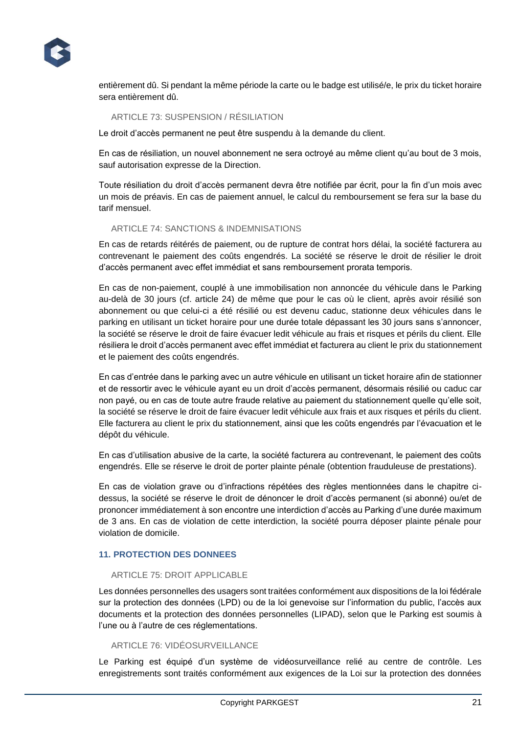

entièrement dû. Si pendant la même période la carte ou le badge est utilisé/e, le prix du ticket horaire sera entièrement dû.

# ARTICLE 73: SUSPENSION / RÉSILIATION

Le droit d'accès permanent ne peut être suspendu à la demande du client.

En cas de résiliation, un nouvel abonnement ne sera octroyé au même client qu'au bout de 3 mois, sauf autorisation expresse de la Direction.

Toute résiliation du droit d'accès permanent devra être notifiée par écrit, pour la fin d'un mois avec un mois de préavis. En cas de paiement annuel, le calcul du remboursement se fera sur la base du tarif mensuel.

#### ARTICLE 74: SANCTIONS & INDEMNISATIONS

En cas de retards réitérés de paiement, ou de rupture de contrat hors délai, la société facturera au contrevenant le paiement des coûts engendrés. La société se réserve le droit de résilier le droit d'accès permanent avec effet immédiat et sans remboursement prorata temporis.

En cas de non-paiement, couplé à une immobilisation non annoncée du véhicule dans le Parking au-delà de 30 jours (cf. article 24) de même que pour le cas où le client, après avoir résilié son abonnement ou que celui-ci a été résilié ou est devenu caduc, stationne deux véhicules dans le parking en utilisant un ticket horaire pour une durée totale dépassant les 30 jours sans s'annoncer, la société se réserve le droit de faire évacuer ledit véhicule au frais et risques et périls du client. Elle résiliera le droit d'accès permanent avec effet immédiat et facturera au client le prix du stationnement et le paiement des coûts engendrés.

En cas d'entrée dans le parking avec un autre véhicule en utilisant un ticket horaire afin de stationner et de ressortir avec le véhicule ayant eu un droit d'accès permanent, désormais résilié ou caduc car non payé, ou en cas de toute autre fraude relative au paiement du stationnement quelle qu'elle soit, la société se réserve le droit de faire évacuer ledit véhicule aux frais et aux risques et périls du client. Elle facturera au client le prix du stationnement, ainsi que les coûts engendrés par l'évacuation et le dépôt du véhicule.

En cas d'utilisation abusive de la carte, la société facturera au contrevenant, le paiement des coûts engendrés. Elle se réserve le droit de porter plainte pénale (obtention frauduleuse de prestations).

En cas de violation grave ou d'infractions répétées des règles mentionnées dans le chapitre cidessus, la société se réserve le droit de dénoncer le droit d'accès permanent (si abonné) ou/et de prononcer immédiatement à son encontre une interdiction d'accès au Parking d'une durée maximum de 3 ans. En cas de violation de cette interdiction, la société pourra déposer plainte pénale pour violation de domicile.

#### **11. PROTECTION DES DONNEES**

#### ARTICLE 75: DROIT APPLICABLE

Les données personnelles des usagers sont traitées conformément aux dispositions de la loi fédérale sur la protection des données (LPD) ou de la loi genevoise sur l'information du public, l'accès aux documents et la protection des données personnelles (LIPAD), selon que le Parking est soumis à l'une ou à l'autre de ces réglementations.

# ARTICLE 76: VIDÉOSURVEILLANCE

Le Parking est équipé d'un système de vidéosurveillance relié au centre de contrôle. Les enregistrements sont traités conformément aux exigences de la Loi sur la protection des données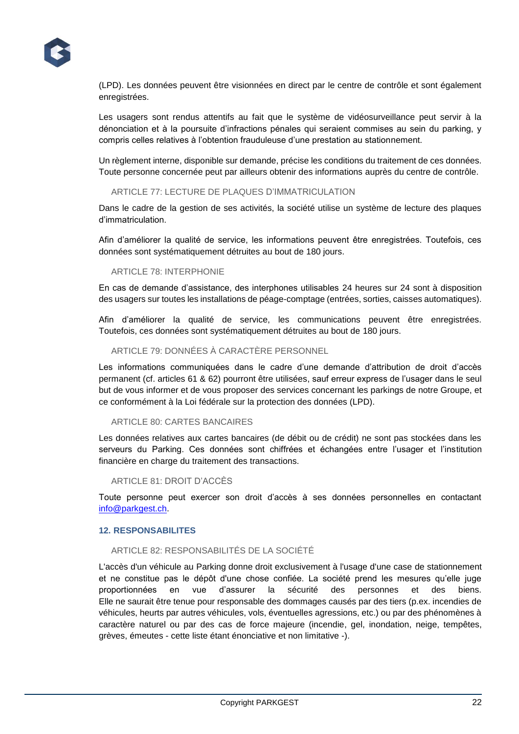

(LPD). Les données peuvent être visionnées en direct par le centre de contrôle et sont également enregistrées.

Les usagers sont rendus attentifs au fait que le système de vidéosurveillance peut servir à la dénonciation et à la poursuite d'infractions pénales qui seraient commises au sein du parking, y compris celles relatives à l'obtention frauduleuse d'une prestation au stationnement.

Un règlement interne, disponible sur demande, précise les conditions du traitement de ces données. Toute personne concernée peut par ailleurs obtenir des informations auprès du centre de contrôle.

#### ARTICLE 77: LECTURE DE PLAQUES D'IMMATRICULATION

Dans le cadre de la gestion de ses activités, la société utilise un système de lecture des plaques d'immatriculation.

Afin d'améliorer la qualité de service, les informations peuvent être enregistrées. Toutefois, ces données sont systématiquement détruites au bout de 180 jours.

#### ARTICLE 78: INTERPHONIE

En cas de demande d'assistance, des interphones utilisables 24 heures sur 24 sont à disposition des usagers sur toutes les installations de péage-comptage (entrées, sorties, caisses automatiques).

Afin d'améliorer la qualité de service, les communications peuvent être enregistrées. Toutefois, ces données sont systématiquement détruites au bout de 180 jours.

#### ARTICLE 79: DONNÉES À CARACTÈRE PERSONNEL

Les informations communiquées dans le cadre d'une demande d'attribution de droit d'accès permanent (cf. articles 61 & 62) pourront être utilisées, sauf erreur express de l'usager dans le seul but de vous informer et de vous proposer des services concernant les parkings de notre Groupe, et ce conformément à la Loi fédérale sur la protection des données (LPD).

#### ARTICLE 80: CARTES BANCAIRES

Les données relatives aux cartes bancaires (de débit ou de crédit) ne sont pas stockées dans les serveurs du Parking. Ces données sont chiffrées et échangées entre l'usager et l'institution financière en charge du traitement des transactions.

#### ARTICLE 81: DROIT D'ACCÈS

Toute personne peut exercer son droit d'accès à ses données personnelles en contactant [info@parkgest.ch.](mailto:info@parkgest.ch)

# **12. RESPONSABILITES**

# ARTICLE 82: RESPONSABILITÉS DE LA SOCIÉTÉ

L'accès d'un véhicule au Parking donne droit exclusivement à l'usage d'une case de stationnement et ne constitue pas le dépôt d'une chose confiée. La société prend les mesures qu'elle juge proportionnées en vue d'assurer la sécurité des personnes et des biens. Elle ne saurait être tenue pour responsable des dommages causés par des tiers (p.ex. incendies de véhicules, heurts par autres véhicules, vols, éventuelles agressions, etc.) ou par des phénomènes à caractère naturel ou par des cas de force majeure (incendie, gel, inondation, neige, tempêtes, grèves, émeutes - cette liste étant énonciative et non limitative -).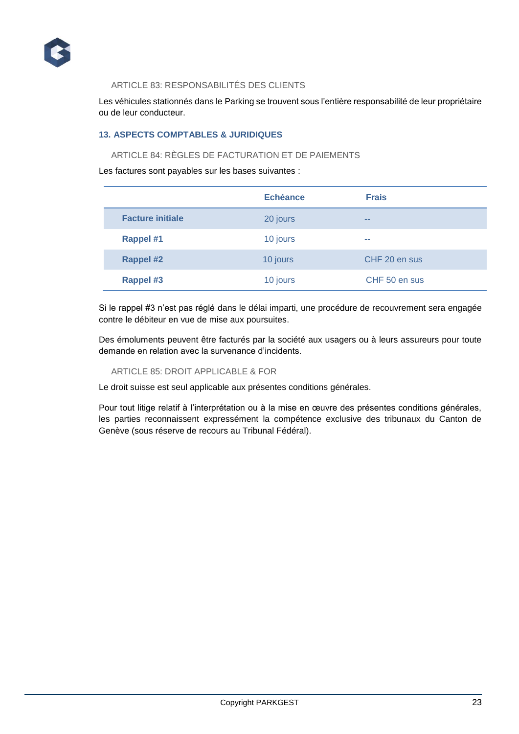

# ARTICLE 83: RESPONSABILITÉS DES CLIENTS

Les véhicules stationnés dans le Parking se trouvent sous l'entière responsabilité de leur propriétaire ou de leur conducteur.

# **13. ASPECTS COMPTABLES & JURIDIQUES**

# ARTICLE 84: RÈGLES DE FACTURATION ET DE PAIEMENTS

Les factures sont payables sur les bases suivantes :

|                         | Echéance | <b>Frais</b>  |
|-------------------------|----------|---------------|
| <b>Facture initiale</b> | 20 jours | $- -$         |
| <b>Rappel #1</b>        | 10 jours | --            |
| <b>Rappel #2</b>        | 10 jours | CHF 20 en sus |
| <b>Rappel #3</b>        | 10 jours | CHF 50 en sus |

Si le rappel #3 n'est pas réglé dans le délai imparti, une procédure de recouvrement sera engagée contre le débiteur en vue de mise aux poursuites.

Des émoluments peuvent être facturés par la société aux usagers ou à leurs assureurs pour toute demande en relation avec la survenance d'incidents.

#### ARTICLE 85: DROIT APPLICABLE & FOR

Le droit suisse est seul applicable aux présentes conditions générales.

Pour tout litige relatif à l'interprétation ou à la mise en œuvre des présentes conditions générales, les parties reconnaissent expressément la compétence exclusive des tribunaux du Canton de Genève (sous réserve de recours au Tribunal Fédéral).